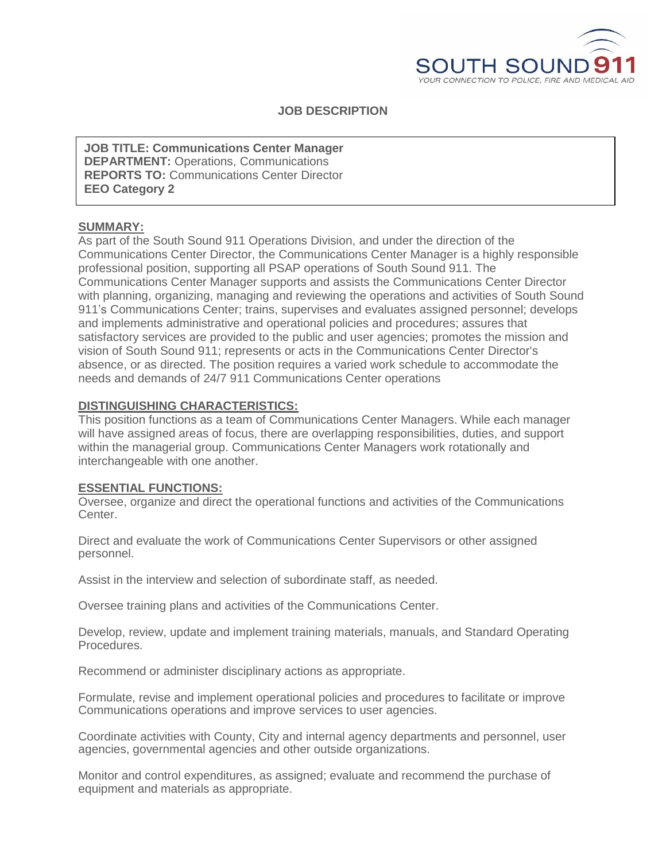

**JOB DESCRIPTION**

**DEPARTMENT:** Operations, Communications **JOB TITLE: Communications Center Manager REPORTS TO:** Communications Center Director **EEO Category 2**

# **SUMMARY:**

As part of the South Sound 911 Operations Division, and under the direction of the Communications Center Director, the Communications Center Manager is a highly responsible professional position, supporting all PSAP operations of South Sound 911. The Communications Center Manager supports and assists the Communications Center Director with planning, organizing, managing and reviewing the operations and activities of South Sound 911's Communications Center; trains, supervises and evaluates assigned personnel; develops and implements administrative and operational policies and procedures; assures that satisfactory services are provided to the public and user agencies; promotes the mission and vision of South Sound 911; represents or acts in the Communications Center Director's absence, or as directed. The position requires a varied work schedule to accommodate the needs and demands of 24/7 911 Communications Center operations

# **DISTINGUISHING CHARACTERISTICS:**

This position functions as a team of Communications Center Managers. While each manager will have assigned areas of focus, there are overlapping responsibilities, duties, and support within the managerial group. Communications Center Managers work rotationally and interchangeable with one another.

## **ESSENTIAL FUNCTIONS:**

Oversee, organize and direct the operational functions and activities of the Communications Center.

Direct and evaluate the work of Communications Center Supervisors or other assigned personnel.

Assist in the interview and selection of subordinate staff, as needed.

Oversee training plans and activities of the Communications Center.

Develop, review, update and implement training materials, manuals, and Standard Operating Procedures.

Recommend or administer disciplinary actions as appropriate.

Formulate, revise and implement operational policies and procedures to facilitate or improve Communications operations and improve services to user agencies.

Coordinate activities with County, City and internal agency departments and personnel, user agencies, governmental agencies and other outside organizations.

Monitor and control expenditures, as assigned; evaluate and recommend the purchase of equipment and materials as appropriate.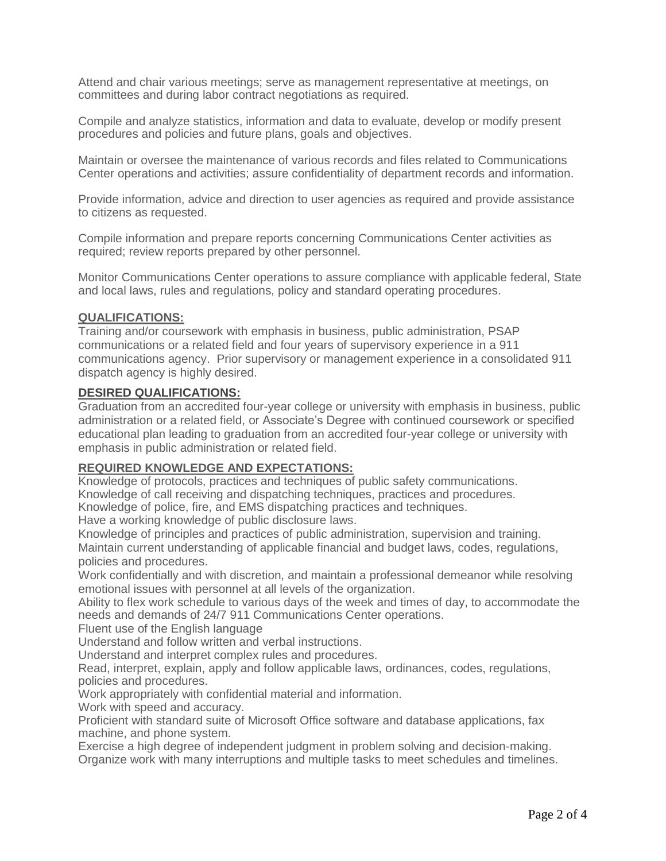Attend and chair various meetings; serve as management representative at meetings, on committees and during labor contract negotiations as required.

Compile and analyze statistics, information and data to evaluate, develop or modify present procedures and policies and future plans, goals and objectives.

Maintain or oversee the maintenance of various records and files related to Communications Center operations and activities; assure confidentiality of department records and information.

Provide information, advice and direction to user agencies as required and provide assistance to citizens as requested.

Compile information and prepare reports concerning Communications Center activities as required; review reports prepared by other personnel.

Monitor Communications Center operations to assure compliance with applicable federal, State and local laws, rules and regulations, policy and standard operating procedures.

#### **QUALIFICATIONS:**

Training and/or coursework with emphasis in business, public administration, PSAP communications or a related field and four years of supervisory experience in a 911 communications agency. Prior supervisory or management experience in a consolidated 911 dispatch agency is highly desired.

#### **DESIRED QUALIFICATIONS:**

Graduation from an accredited four-year college or university with emphasis in business, public administration or a related field, or Associate's Degree with continued coursework or specified educational plan leading to graduation from an accredited four-year college or university with emphasis in public administration or related field.

#### **REQUIRED KNOWLEDGE AND EXPECTATIONS:**

Knowledge of protocols, practices and techniques of public safety communications. Knowledge of call receiving and dispatching techniques, practices and procedures. Knowledge of police, fire, and EMS dispatching practices and techniques.

Have a working knowledge of public disclosure laws.

Knowledge of principles and practices of public administration, supervision and training. Maintain current understanding of applicable financial and budget laws, codes, regulations, policies and procedures.

Work confidentially and with discretion, and maintain a professional demeanor while resolving emotional issues with personnel at all levels of the organization.

Ability to flex work schedule to various days of the week and times of day, to accommodate the needs and demands of 24/7 911 Communications Center operations.

Fluent use of the English language

Understand and follow written and verbal instructions.

Understand and interpret complex rules and procedures.

Read, interpret, explain, apply and follow applicable laws, ordinances, codes, regulations, policies and procedures.

Work appropriately with confidential material and information.

Work with speed and accuracy.

Proficient with standard suite of Microsoft Office software and database applications, fax machine, and phone system.

Exercise a high degree of independent judgment in problem solving and decision-making. Organize work with many interruptions and multiple tasks to meet schedules and timelines.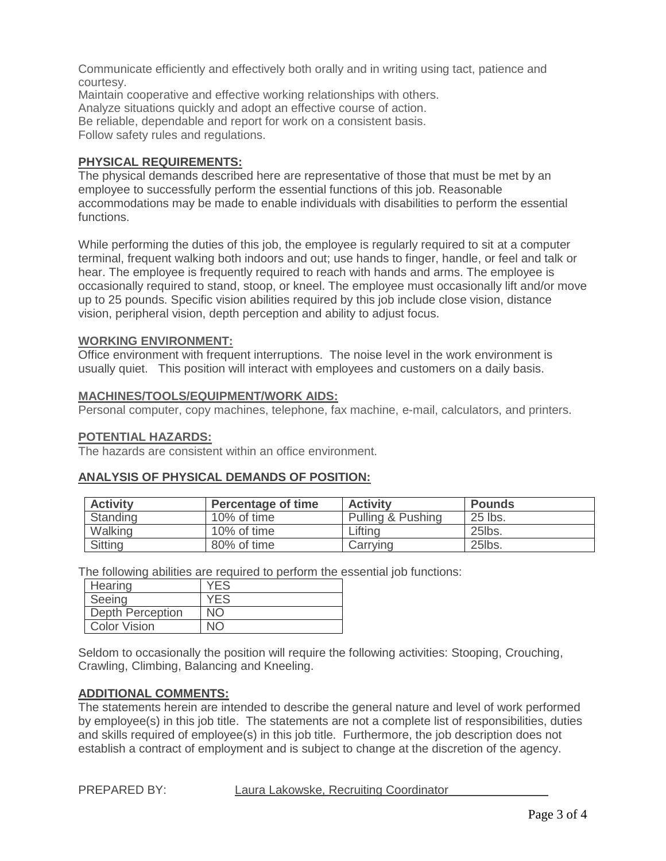Communicate efficiently and effectively both orally and in writing using tact, patience and courtesy.

Maintain cooperative and effective working relationships with others. Analyze situations quickly and adopt an effective course of action. Be reliable, dependable and report for work on a consistent basis. Follow safety rules and regulations.

# **PHYSICAL REQUIREMENTS:**

The physical demands described here are representative of those that must be met by an employee to successfully perform the essential functions of this job. Reasonable accommodations may be made to enable individuals with disabilities to perform the essential functions.

While performing the duties of this job, the employee is regularly required to sit at a computer terminal, frequent walking both indoors and out; use hands to finger, handle, or feel and talk or hear. The employee is frequently required to reach with hands and arms. The employee is occasionally required to stand, stoop, or kneel. The employee must occasionally lift and/or move up to 25 pounds. Specific vision abilities required by this job include close vision, distance vision, peripheral vision, depth perception and ability to adjust focus.

# **WORKING ENVIRONMENT:**

Office environment with frequent interruptions. The noise level in the work environment is usually quiet. This position will interact with employees and customers on a daily basis.

## **MACHINES/TOOLS/EQUIPMENT/WORK AIDS:**

Personal computer, copy machines, telephone, fax machine, e-mail, calculators, and printers.

#### **POTENTIAL HAZARDS:**

The hazards are consistent within an office environment.

## **ANALYSIS OF PHYSICAL DEMANDS OF POSITION:**

| <b>Activity</b> | <b>Percentage of time</b> | <b>Activity</b>   | <b>Pounds</b> |
|-----------------|---------------------------|-------------------|---------------|
| Standing        | 10% of time               | Pulling & Pushing | 25 lbs.       |
| Walking         | 10% of time               | Lifting           | 25lbs.        |
| Sitting         | 80% of time               | Carrving          | 25lbs.        |

The following abilities are required to perform the essential job functions:

| Hearing             | <b>YES</b> |
|---------------------|------------|
| Seeing              | YFS        |
| Depth Perception    | NΟ         |
| <b>Color Vision</b> |            |

Seldom to occasionally the position will require the following activities: Stooping, Crouching, Crawling, Climbing, Balancing and Kneeling.

## **ADDITIONAL COMMENTS:**

The statements herein are intended to describe the general nature and level of work performed by employee(s) in this job title. The statements are not a complete list of responsibilities, duties and skills required of employee(s) in this job title. Furthermore, the job description does not establish a contract of employment and is subject to change at the discretion of the agency.

PREPARED BY: Laura Lakowske, Recruiting Coordinator